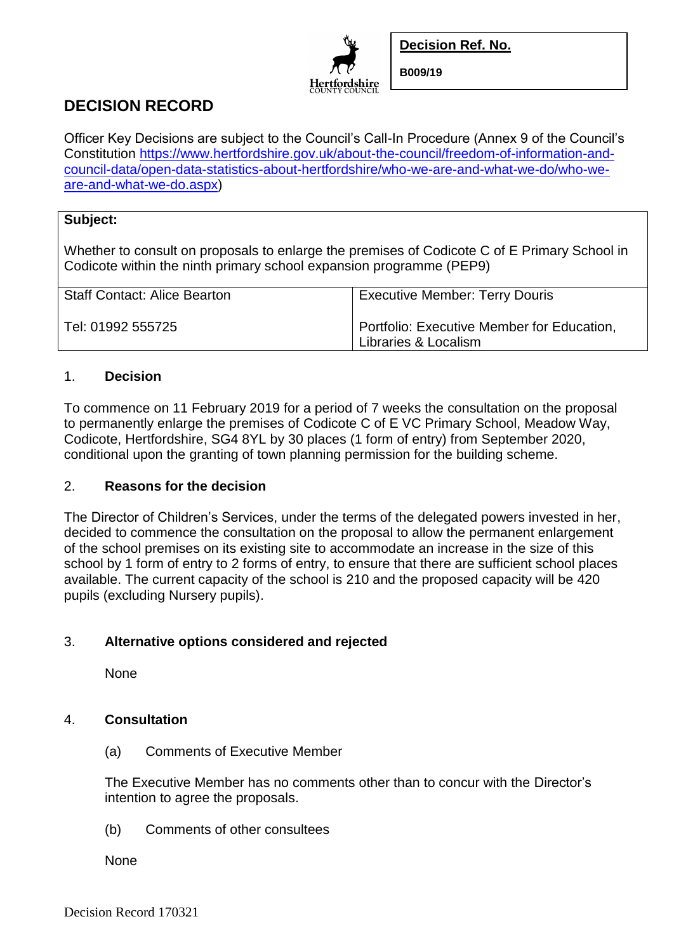

**Decision Ref. No.**

**B009/19**

# **DECISION RECORD**

Officer Key Decisions are subject to the Council's Call-In Procedure (Annex 9 of the Council's Constitution [https://www.hertfordshire.gov.uk/about-the-council/freedom-of-information-and](https://www.hertfordshire.gov.uk/about-the-council/freedom-of-information-and-council-data/open-data-statistics-about-hertfordshire/who-we-are-and-what-we-do/who-we-are-and-what-we-do.aspx)[council-data/open-data-statistics-about-hertfordshire/who-we-are-and-what-we-do/who-we](https://www.hertfordshire.gov.uk/about-the-council/freedom-of-information-and-council-data/open-data-statistics-about-hertfordshire/who-we-are-and-what-we-do/who-we-are-and-what-we-do.aspx)[are-and-what-we-do.aspx\)](https://www.hertfordshire.gov.uk/about-the-council/freedom-of-information-and-council-data/open-data-statistics-about-hertfordshire/who-we-are-and-what-we-do/who-we-are-and-what-we-do.aspx)

### **Subject:**

Whether to consult on proposals to enlarge the premises of Codicote C of E Primary School in Codicote within the ninth primary school expansion programme (PEP9)

| Staff Contact: Alice Bearton | <b>Executive Member: Terry Douris</b>                              |
|------------------------------|--------------------------------------------------------------------|
| Tel: 01992 555725            | Portfolio: Executive Member for Education,<br>Libraries & Localism |

## 1. **Decision**

To commence on 11 February 2019 for a period of 7 weeks the consultation on the proposal to permanently enlarge the premises of Codicote C of E VC Primary School, Meadow Way, Codicote, Hertfordshire, SG4 8YL by 30 places (1 form of entry) from September 2020, conditional upon the granting of town planning permission for the building scheme.

#### 2. **Reasons for the decision**

The Director of Children's Services, under the terms of the delegated powers invested in her, decided to commence the consultation on the proposal to allow the permanent enlargement of the school premises on its existing site to accommodate an increase in the size of this school by 1 form of entry to 2 forms of entry, to ensure that there are sufficient school places available. The current capacity of the school is 210 and the proposed capacity will be 420 pupils (excluding Nursery pupils).

## 3. **Alternative options considered and rejected**

None

## 4. **Consultation**

(a) Comments of Executive Member

The Executive Member has no comments other than to concur with the Director's intention to agree the proposals.

(b) Comments of other consultees

None